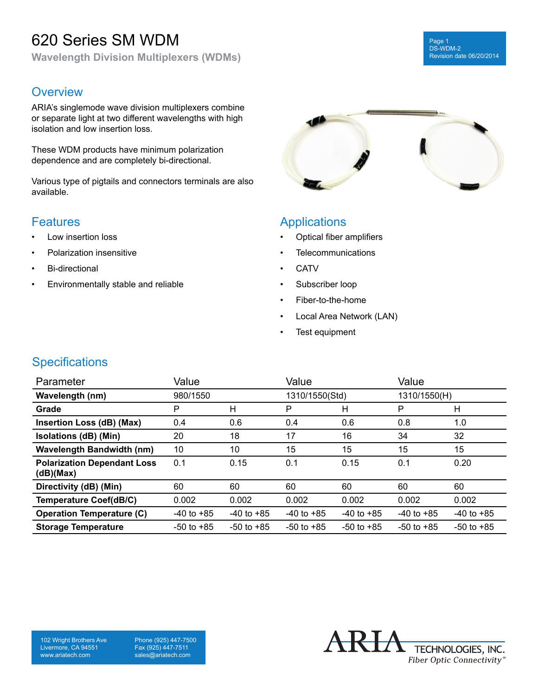## 620 Series SM WDM

**Wavelength Division Multiplexers (WDMs)**

#### Page 1 DS-WDM-2 Revision date 06/20/2014

#### **Overview**

ARIA's singlemode wave division multiplexers combine or separate light at two different wavelengths with high isolation and low insertion loss.

These WDM products have minimum polarization dependence and are completely bi-directional.

Various type of pigtails and connectors terminals are also available.

#### **Features**

- Low insertion loss
- Polarization insensitive
- Bi-directional
- Environmentally stable and reliable



#### **Applications**

- Optical fiber amplifiers
- **Telecommunications**
- CATV
- Subscriber loop
- Fiber-to-the-home
- Local Area Network (LAN)
- Test equipment

### **Specifications**

| Parameter                                       | Value          |                | Value          |                | Value          |                |
|-------------------------------------------------|----------------|----------------|----------------|----------------|----------------|----------------|
| <b>Wavelength (nm)</b>                          | 980/1550       |                | 1310/1550(Std) |                | 1310/1550(H)   |                |
| Grade                                           | P              | н              | P              | н              | P              | н              |
| Insertion Loss (dB) (Max)                       | 0.4            | 0.6            | 0.4            | 0.6            | 0.8            | 1.0            |
| Isolations (dB) (Min)                           | 20             | 18             | 17             | 16             | 34             | 32             |
| <b>Wavelength Bandwidth (nm)</b>                | 10             | 10             | 15             | 15             | 15             | 15             |
| <b>Polarization Dependant Loss</b><br>(dB)(Max) | 0.1            | 0.15           | 0.1            | 0.15           | 0.1            | 0.20           |
| Directivity (dB) (Min)                          | 60             | 60             | 60             | 60             | 60             | 60             |
| <b>Temperature Coef(dB/C)</b>                   | 0.002          | 0.002          | 0.002          | 0.002          | 0.002          | 0.002          |
| <b>Operation Temperature (C)</b>                | $-40$ to $+85$ | $-40$ to $+85$ | $-40$ to $+85$ | $-40$ to $+85$ | $-40$ to $+85$ | $-40$ to $+85$ |
| <b>Storage Temperature</b>                      | $-50$ to $+85$ | $-50$ to $+85$ | $-50$ to $+85$ | $-50$ to $+85$ | $-50$ to $+85$ | $-50$ to $+85$ |

102 Wright Brothers Ave Livermore, CA 94551 www.ariatech.com

Phone (925) 447-7500 Fax (925) 447-7511 sales@ariatech.com